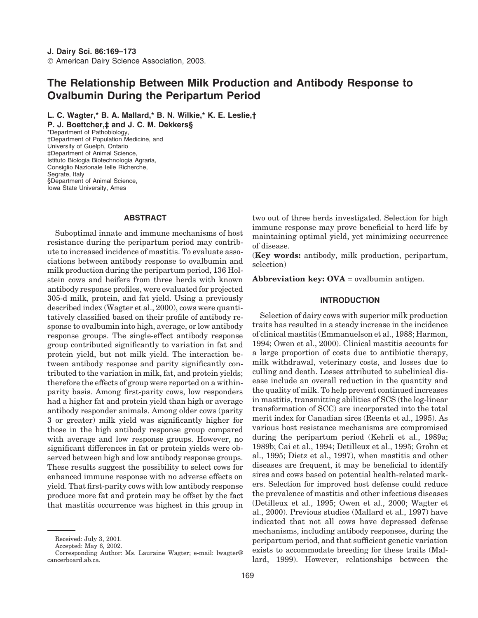# **The Relationship Between Milk Production and Antibody Response to Ovalbumin During the Peripartum Period**

**L. C. Wagter,\* B. A. Mallard,\* B. N. Wilkie,\* K. E. Leslie,†**

**P. J. Boettcher,‡ and J. C. M. Dekkers§** \*Department of Pathobiology, †Department of Population Medicine, and University of Guelph, Ontario ‡Department of Animal Science, Istituto Biologia Biotechnologia Agraria, Consiglio Nazionale Ielle Richerche, Segrate, Italy §Department of Animal Science, Iowa State University, Ames

# **ABSTRACT**

Suboptimal innate and immune mechanisms of host resistance during the peripartum period may contribute to increased incidence of mastitis. To evaluate associations between antibody response to ovalbumin and milk production during the peripartum period, 136 Holstein cows and heifers from three herds with known antibody response profiles, were evaluated for projected 305-d milk, protein, and fat yield. Using a previously described index (Wagter et al., 2000), cows were quantitatively classified based on their profile of antibody response to ovalbumin into high, average, or low antibody response groups. The single-effect antibody response group contributed significantly to variation in fat and protein yield, but not milk yield. The interaction between antibody response and parity significantly contributed to the variation in milk, fat, and protein yields; therefore the effects of group were reported on a withinparity basis. Among first-parity cows, low responders had a higher fat and protein yield than high or average antibody responder animals. Among older cows (parity 3 or greater) milk yield was significantly higher for those in the high antibody response group compared with average and low response groups. However, no significant differences in fat or protein yields were observed between high and low antibody response groups. These results suggest the possibility to select cows for enhanced immune response with no adverse effects on yield. That first-parity cows with low antibody response produce more fat and protein may be offset by the fact that mastitis occurrence was highest in this group in

two out of three herds investigated. Selection for high immune response may prove beneficial to herd life by maintaining optimal yield, yet minimizing occurrence of disease.

(**Key words:** antibody, milk production, peripartum, selection)

**Abbreviation key: OVA** = ovalbumin antigen.

#### **INTRODUCTION**

Selection of dairy cows with superior milk production traits has resulted in a steady increase in the incidence of clinical mastitis (Emmanuelson et al., 1988; Harmon, 1994; Owen et al., 2000). Clinical mastitis accounts for a large proportion of costs due to antibiotic therapy, milk withdrawal, veterinary costs, and losses due to culling and death. Losses attributed to subclinical disease include an overall reduction in the quantity and the quality of milk. To help prevent continued increases in mastitis, transmitting abilities of SCS (the log-linear transformation of SCC) are incorporated into the total merit index for Canadian sires (Reents et al., 1995). As various host resistance mechanisms are compromised during the peripartum period (Kehrli et al., 1989a; 1989b; Cai et al., 1994; Detilleux et al., 1995; Grohn et al., 1995; Dietz et al., 1997), when mastitis and other diseases are frequent, it may be beneficial to identify sires and cows based on potential health-related markers. Selection for improved host defense could reduce the prevalence of mastitis and other infectious diseases (Detilleux et al., 1995; Owen et al., 2000; Wagter et al., 2000). Previous studies (Mallard et al., 1997) have indicated that not all cows have depressed defense mechanisms, including antibody responses, during the peripartum period, and that sufficient genetic variation exists to accommodate breeding for these traits (Mallard, 1999). However, relationships between the

Received: July 3, 2001.

Accepted: May 6, 2002.

Corresponding Author: Ms. Lauraine Wagter; e-mail: lwagter@ cancerboard.ab.ca.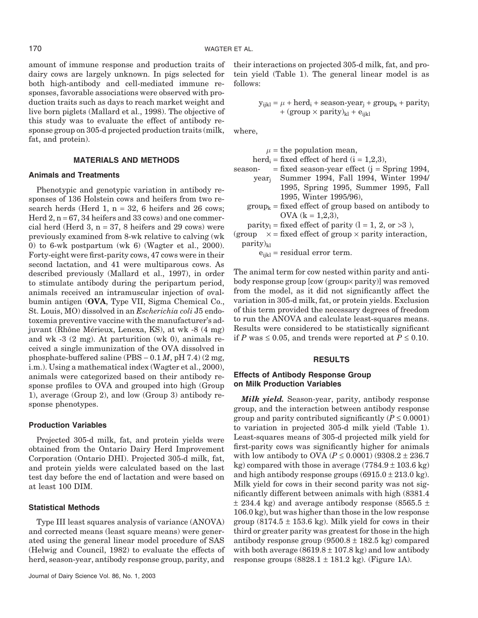amount of immune response and production traits of dairy cows are largely unknown. In pigs selected for both high-antibody and cell-mediated immune responses, favorable associations were observed with production traits such as days to reach market weight and live born piglets (Mallard et al., 1998). The objective of this study was to evaluate the effect of antibody response group on 305-d projected production traits (milk, fat, and protein).

# **MATERIALS AND METHODS**

# **Animals and Treatments**

Phenotypic and genotypic variation in antibody responses of 136 Holstein cows and heifers from two research herds (Herd 1,  $n = 32$ , 6 heifers and 26 cows; Herd  $2$ ,  $n = 67$ , 34 heifers and 33 cows) and one commercial herd (Herd 3,  $n = 37$ , 8 heifers and 29 cows) were previously examined from 8-wk relative to calving (wk 0) to 6-wk postpartum (wk 6) (Wagter et al., 2000). Forty-eight were first-parity cows, 47 cows were in their second lactation, and 41 were multiparous cows. As described previously (Mallard et al., 1997), in order to stimulate antibody during the peripartum period, animals received an intramuscular injection of ovalbumin antigen (**OVA**, Type VII, Sigma Chemical Co., St. Louis, MO) dissolved in an *Escherichia coli* J5 endotoxemia preventive vaccine with the manufacturer's adjuvant (Rhône Mérieux, Lenexa, KS), at wk -8 (4 mg) and wk -3 (2 mg). At parturition (wk 0), animals received a single immunization of the OVA dissolved in phosphate-buffered saline (PBS  $-0.1 M$ , pH 7.4) (2 mg, i.m.). Using a mathematical index (Wagter et al., 2000), animals were categorized based on their antibody response profiles to OVA and grouped into high (Group 1), average (Group 2), and low (Group 3) antibody response phenotypes.

#### **Production Variables**

Projected 305-d milk, fat, and protein yields were obtained from the Ontario Dairy Herd Improvement Corporation (Ontario DHI). Projected 305-d milk, fat, and protein yields were calculated based on the last test day before the end of lactation and were based on at least 100 DIM.

#### **Statistical Methods**

Type III least squares analysis of variance (ANOVA) and corrected means (least square means) were generated using the general linear model procedure of SAS (Helwig and Council, 1982) to evaluate the effects of herd, season-year, antibody response group, parity, and

their interactions on projected 305-d milk, fat, and protein yield (Table 1). The general linear model is as follows:

> $y_{ijkl} = \mu + \text{herd}_i + \text{season-year}_i + \text{group}_k + \text{parity}_l$ + (group  $\times$  parity)<sub>kl</sub> + e<sub>ijkl</sub>

where,

 $\mu$  = the population mean,

herd<sub>i</sub> = fixed effect of herd ( $i = 1,2,3$ ),

season-  $=$  fixed season-year effect  $(i =$  Spring 1994,

- yearj Summer 1994, Fall 1994, Winter 1994/ 1995, Spring 1995, Summer 1995, Fall 1995, Winter 1995/96),
- $group_k = fixed effect of group based on antibody to$ OVA  $(k = 1,2,3)$ ,
- parity<sub>1</sub> = fixed effect of parity  $(l = 1, 2, or >3)$ ,

(group  $x = fixed$  effect of group  $x$  parity interaction,  $parity)_{kl}$ 

 $e_{ijkl}$  = residual error term.

The animal term for cow nested within parity and antibody response group [cow (group× parity)] was removed from the model, as it did not significantly affect the variation in 305-d milk, fat, or protein yields. Exclusion of this term provided the necessary degrees of freedom to run the ANOVA and calculate least-squares means. Results were considered to be statistically significant if *P* was ≤ 0.05, and trends were reported at *P* ≤ 0.10.

# **RESULTS**

#### **Effects of Antibody Response Group on Milk Production Variables**

*Milk yield.* Season-year, parity, antibody response group, and the interaction between antibody response group and parity contributed significantly ( $P \leq 0.0001$ ) to variation in projected 305-d milk yield (Table 1). Least-squares means of 305-d projected milk yield for first-parity cows was significantly higher for animals with low antibody to OVA ( $P \le 0.0001$ ) (9308.2  $\pm$  236.7 kg) compared with those in average  $(7784.9 \pm 103.6 \text{ kg})$ and high antibody response groups  $(6915.0 \pm 213.0 \text{ kg})$ . Milk yield for cows in their second parity was not significantly different between animals with high (8381.4  $\pm$  234.4 kg) and average antibody response (8565.5  $\pm$ 106.0 kg), but was higher than those in the low response group  $(8174.5 \pm 153.6 \text{ kg})$ . Milk yield for cows in their third or greater parity was greatest for those in the high antibody response group  $(9500.8 \pm 182.5 \text{ kg})$  compared with both average  $(8619.8 \pm 107.8 \text{ kg})$  and low antibody response groups  $(8828.1 \pm 181.2 \text{ kg})$ . (Figure 1A).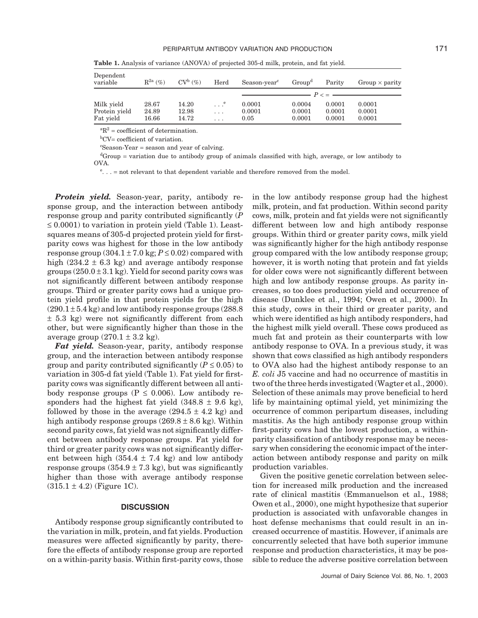| Dependent<br>variable | $\mathbb{R}^{2a}$ (%) | $CV^b$ (%) | Herd                  | Season-year <sup>c</sup> | Group <sup>d</sup> | Parity | Group $\times$ parity |
|-----------------------|-----------------------|------------|-----------------------|--------------------------|--------------------|--------|-----------------------|
|                       |                       |            |                       | $P \lt \equiv$           |                    |        |                       |
| Milk yield            | 28.67                 | 14.20      | $\ldots$ <sup>e</sup> | 0.0001                   | 0.0004             | 0.0001 | 0.0001                |
| Protein yield         | 24.89                 | 12.98      | $\cdots$              | 0.0001                   | 0.0001             | 0.0001 | 0.0001                |
| Fat yield             | 16.66                 | 14.72      | $\cdots$              | 0.05                     | 0.0001             | 0.0001 | 0.0001                |

**Table 1.** Analysis of variance (ANOVA) of projected 305-d milk, protein, and fat yield.

 ${}^{\text{a}}\text{R}^2$  = coefficient of determination.

b CV= coefficient of variation.

c Season-Year = season and year of calving.

d Group = variation due to antibody group of animals classified with high, average, or low antibody to OVA.

e... = not relevant to that dependent variable and therefore removed from the model.

*Protein yield.* Season-year, parity, antibody response group, and the interaction between antibody response group and parity contributed significantly (*P*  $\leq 0.0001$ ) to variation in protein yield (Table 1). Leastsquares means of 305-d projected protein yield for firstparity cows was highest for those in the low antibody response group  $(304.1 \pm 7.0 \text{ kg}; P \le 0.02)$  compared with high  $(234.2 \pm 6.3 \text{ kg})$  and average antibody response groups  $(250.0 \pm 3.1 \text{ kg})$ . Yield for second parity cows was not significantly different between antibody response groups. Third or greater parity cows had a unique protein yield profile in that protein yields for the high  $(290.1 \pm 5.4 \text{ kg})$  and low antibody response groups  $(288.8$ ± 5.3 kg) were not significantly different from each other, but were significantly higher than those in the average group  $(270.1 \pm 3.2 \text{ kg})$ .

*Fat yield.* Season-year, parity, antibody response group, and the interaction between antibody response group and parity contributed significantly ( $P \leq 0.05$ ) to variation in 305-d fat yield (Table 1). Fat yield for firstparity cows was significantly different between all antibody response groups ( $P \leq 0.006$ ). Low antibody responders had the highest fat yield  $(348.8 \pm 9.6 \text{ kg})$ , followed by those in the average  $(294.5 \pm 4.2 \text{ kg})$  and high antibody response groups  $(269.8 \pm 8.6 \text{ kg})$ . Within second parity cows, fat yield was not significantly different between antibody response groups. Fat yield for third or greater parity cows was not significantly different between high  $(354.4 \pm 7.4 \text{ kg})$  and low antibody response groups  $(354.9 \pm 7.3 \text{ kg})$ , but was significantly higher than those with average antibody response  $(315.1 \pm 4.2)$  (Figure 1C).

#### **DISCUSSION**

Antibody response group significantly contributed to the variation in milk, protein, and fat yields. Production measures were affected significantly by parity, therefore the effects of antibody response group are reported on a within-parity basis. Within first-parity cows, those in the low antibody response group had the highest milk, protein, and fat production. Within second parity cows, milk, protein and fat yields were not significantly different between low and high antibody response groups. Within third or greater parity cows, milk yield was significantly higher for the high antibody response group compared with the low antibody response group; however, it is worth noting that protein and fat yields for older cows were not significantly different between high and low antibody response groups. As parity increases, so too does production yield and occurrence of disease (Dunklee et al., 1994; Owen et al., 2000). In this study, cows in their third or greater parity, and which were identified as high antibody responders, had the highest milk yield overall. These cows produced as much fat and protein as their counterparts with low antibody response to OVA. In a previous study, it was shown that cows classified as high antibody responders to OVA also had the highest antibody response to an *E. coli* J5 vaccine and had no occurrence of mastitis in two of the three herds investigated (Wagter et al., 2000). Selection of these animals may prove beneficial to herd life by maintaining optimal yield, yet minimizing the occurrence of common peripartum diseases, including mastitis. As the high antibody response group within first-parity cows had the lowest production, a withinparity classification of antibody response may be necessary when considering the economic impact of the interaction between antibody response and parity on milk production variables.

Given the positive genetic correlation between selection for increased milk production and the increased rate of clinical mastitis (Emmanuelson et al., 1988; Owen et al., 2000), one might hypothesize that superior production is associated with unfavorable changes in host defense mechanisms that could result in an increased occurrence of mastitis. However, if animals are concurrently selected that have both superior immune response and production characteristics, it may be possible to reduce the adverse positive correlation between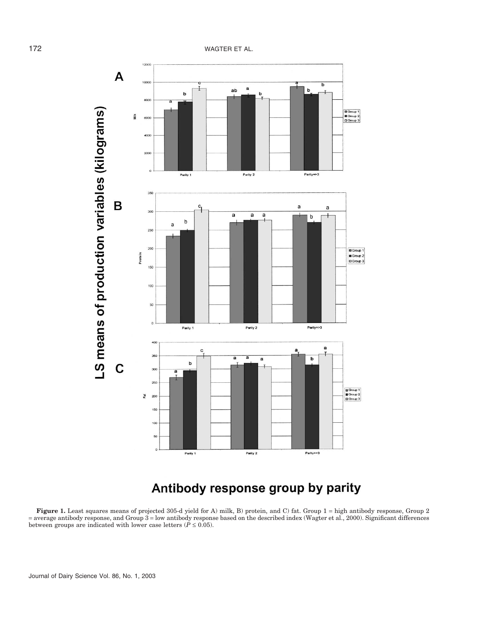

# Antibody response group by parity

**Figure 1.** Least squares means of projected 305-d yield for A) milk, B) protein, and C) fat. Group 1 = high antibody response, Group 2 = average antibody response, and Group 3 = low antibody response based on the described index (Wagter et al., 2000). Significant differences between groups are indicated with lower case letters  $(P \le 0.05)$ .